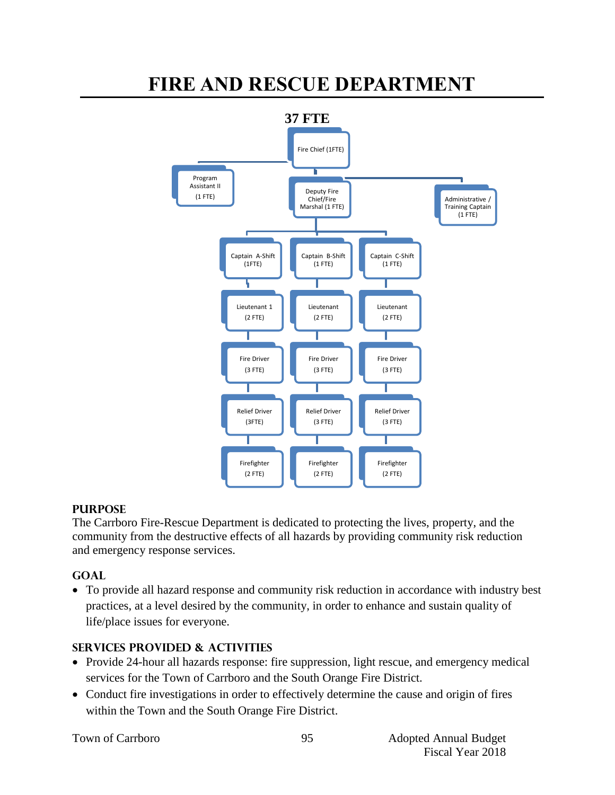

# **FIRE AND RESCUE DEPARTMENT**

### **PURPOSE**

The Carrboro Fire-Rescue Department is dedicated to protecting the lives, property, and the community from the destructive effects of all hazards by providing community risk reduction and emergency response services.

# **GOAL**

 To provide all hazard response and community risk reduction in accordance with industry best practices, at a level desired by the community, in order to enhance and sustain quality of life/place issues for everyone.

# **SERVICES PROVIDED & ACTIVITIES**

- Provide 24-hour all hazards response: fire suppression, light rescue, and emergency medical services for the Town of Carrboro and the South Orange Fire District.
- Conduct fire investigations in order to effectively determine the cause and origin of fires within the Town and the South Orange Fire District.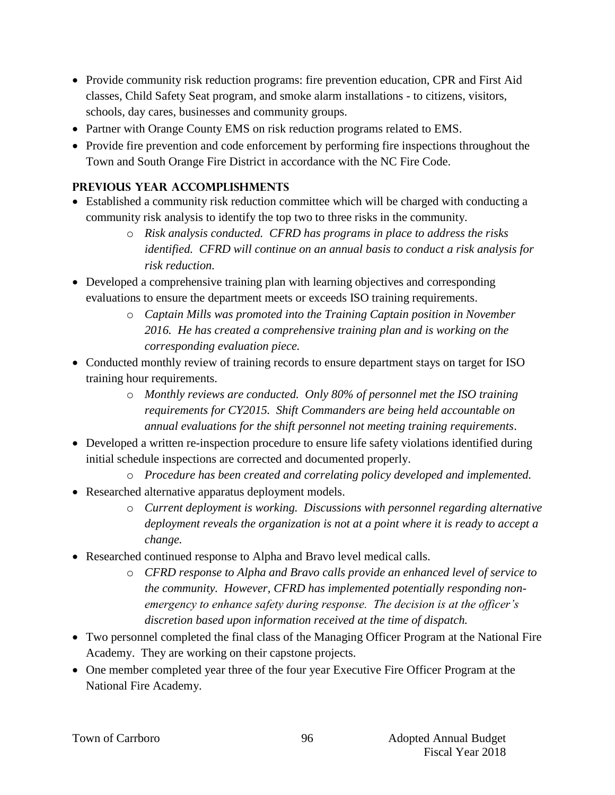- Provide community risk reduction programs: fire prevention education, CPR and First Aid classes, Child Safety Seat program, and smoke alarm installations - to citizens, visitors, schools, day cares, businesses and community groups.
- Partner with Orange County EMS on risk reduction programs related to EMS.
- Provide fire prevention and code enforcement by performing fire inspections throughout the Town and South Orange Fire District in accordance with the NC Fire Code.

# **PREVIOUS YEAR ACCOMPLISHMENTS**

- Established a community risk reduction committee which will be charged with conducting a community risk analysis to identify the top two to three risks in the community.
	- o *Risk analysis conducted. CFRD has programs in place to address the risks identified. CFRD will continue on an annual basis to conduct a risk analysis for risk reduction.*
- Developed a comprehensive training plan with learning objectives and corresponding evaluations to ensure the department meets or exceeds ISO training requirements.
	- o *Captain Mills was promoted into the Training Captain position in November 2016. He has created a comprehensive training plan and is working on the corresponding evaluation piece.*
- Conducted monthly review of training records to ensure department stays on target for ISO training hour requirements.
	- o *Monthly reviews are conducted. Only 80% of personnel met the ISO training requirements for CY2015. Shift Commanders are being held accountable on annual evaluations for the shift personnel not meeting training requirements*.
- Developed a written re-inspection procedure to ensure life safety violations identified during initial schedule inspections are corrected and documented properly.
	- o *Procedure has been created and correlating policy developed and implemented.*
- Researched alternative apparatus deployment models.
	- o *Current deployment is working. Discussions with personnel regarding alternative deployment reveals the organization is not at a point where it is ready to accept a change.*
- Researched continued response to Alpha and Bravo level medical calls.
	- o *CFRD response to Alpha and Bravo calls provide an enhanced level of service to the community. However, CFRD has implemented potentially responding nonemergency to enhance safety during response. The decision is at the officer's discretion based upon information received at the time of dispatch.*
- Two personnel completed the final class of the Managing Officer Program at the National Fire Academy. They are working on their capstone projects.
- One member completed year three of the four year Executive Fire Officer Program at the National Fire Academy.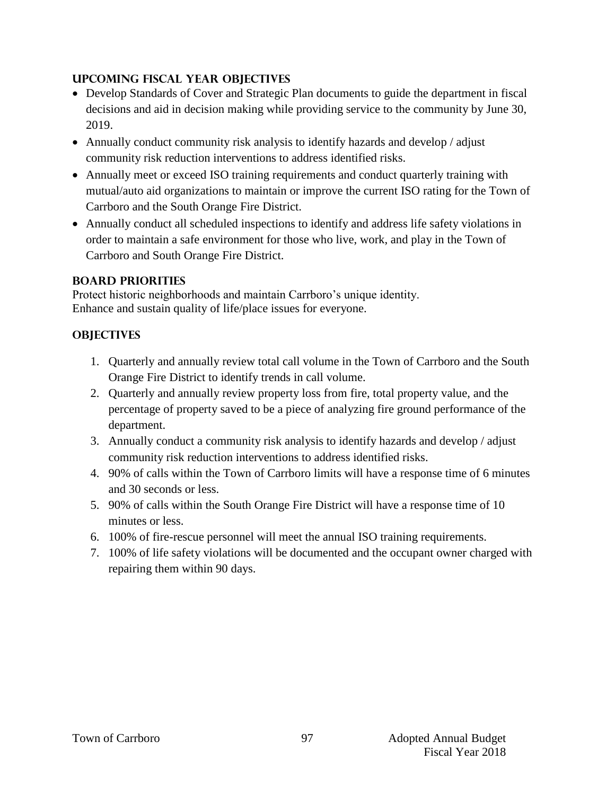# **UPCOMING FISCAL YEAR OBJECTIVES**

- Develop Standards of Cover and Strategic Plan documents to guide the department in fiscal decisions and aid in decision making while providing service to the community by June 30, 2019.
- Annually conduct community risk analysis to identify hazards and develop / adjust community risk reduction interventions to address identified risks.
- Annually meet or exceed ISO training requirements and conduct quarterly training with mutual/auto aid organizations to maintain or improve the current ISO rating for the Town of Carrboro and the South Orange Fire District.
- Annually conduct all scheduled inspections to identify and address life safety violations in order to maintain a safe environment for those who live, work, and play in the Town of Carrboro and South Orange Fire District.

# **BOARD PRIORITIES**

Protect historic neighborhoods and maintain Carrboro's unique identity. Enhance and sustain quality of life/place issues for everyone.

# **OBJECTIVES**

- 1. Quarterly and annually review total call volume in the Town of Carrboro and the South Orange Fire District to identify trends in call volume.
- 2. Quarterly and annually review property loss from fire, total property value, and the percentage of property saved to be a piece of analyzing fire ground performance of the department.
- 3. Annually conduct a community risk analysis to identify hazards and develop / adjust community risk reduction interventions to address identified risks.
- 4. 90% of calls within the Town of Carrboro limits will have a response time of 6 minutes and 30 seconds or less.
- 5. 90% of calls within the South Orange Fire District will have a response time of 10 minutes or less.
- 6. 100% of fire-rescue personnel will meet the annual ISO training requirements.
- 7. 100% of life safety violations will be documented and the occupant owner charged with repairing them within 90 days.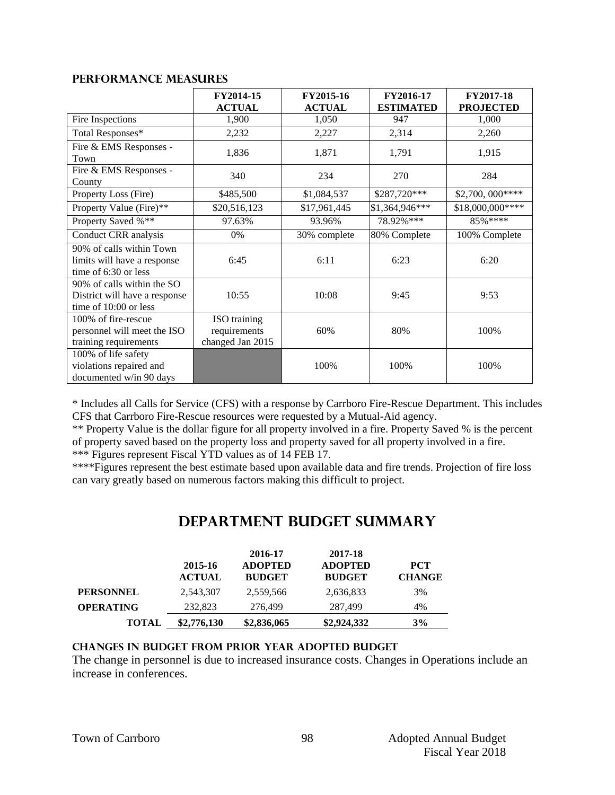### **Performance Measures**

|                                                                                      | FY2014-15<br><b>ACTUAL</b>                       | FY2015-16<br><b>ACTUAL</b> | FY2016-17<br><b>ESTIMATED</b> | FY2017-18<br><b>PROJECTED</b> |
|--------------------------------------------------------------------------------------|--------------------------------------------------|----------------------------|-------------------------------|-------------------------------|
| Fire Inspections                                                                     | 1,900                                            | 1,050                      | 947                           | 1,000                         |
| Total Responses*                                                                     | 2,232                                            | 2,227                      | 2,314                         | 2,260                         |
| Fire & EMS Responses -<br>Town                                                       | 1,836                                            | 1,871                      | 1,791                         | 1,915                         |
| Fire & EMS Responses -<br>County                                                     | 340                                              | 234                        | 270                           | 284                           |
| Property Loss (Fire)                                                                 | \$485,500                                        | \$1,084,537                | \$287,720***                  | $$2,700,000***$               |
| Property Value (Fire)**                                                              | \$20,516,123                                     | \$17,961,445               | \$1,364,946***                | \$18,000,000****              |
| Property Saved %**                                                                   | 97.63%                                           | 93.96%                     | 78.92%***                     | $85%***$                      |
| Conduct CRR analysis                                                                 | 0%                                               | 30% complete               | $80\%$ Complete               | 100% Complete                 |
| 90% of calls within Town<br>limits will have a response<br>time of 6:30 or less      | 6:45                                             | 6:11                       | 6:23                          | 6:20                          |
| 90% of calls within the SO<br>District will have a response<br>time of 10:00 or less | 10:55                                            | 10:08                      | 9:45                          | 9:53                          |
| 100% of fire-rescue<br>personnel will meet the ISO<br>training requirements          | ISO training<br>requirements<br>changed Jan 2015 | 60%                        | 80%                           | 100%                          |
| 100% of life safety<br>violations repaired and<br>documented w/in 90 days            |                                                  | 100%                       | 100%                          | 100%                          |

\* Includes all Calls for Service (CFS) with a response by Carrboro Fire-Rescue Department. This includes CFS that Carrboro Fire-Rescue resources were requested by a Mutual-Aid agency.

\*\* Property Value is the dollar figure for all property involved in a fire. Property Saved % is the percent of property saved based on the property loss and property saved for all property involved in a fire. \*\*\* Figures represent Fiscal YTD values as of 14 FEB 17.

\*\*\*\*Figures represent the best estimate based upon available data and fire trends. Projection of fire loss can vary greatly based on numerous factors making this difficult to project.

# **DEPARTMENT Budget summary**

|                  | 2015-16<br><b>ACTUAL</b> | 2016-17<br><b>ADOPTED</b><br><b>BUDGET</b> | 2017-18<br><b>ADOPTED</b><br><b>BUDGET</b> | <b>PCT</b><br><b>CHANGE</b> |
|------------------|--------------------------|--------------------------------------------|--------------------------------------------|-----------------------------|
| <b>PERSONNEL</b> | 2,543,307                | 2,559,566                                  | 2,636,833                                  | 3%                          |
| <b>OPERATING</b> | 232,823                  | 276,499                                    | 287.499                                    | 4%                          |
| <b>TOTAL</b>     | \$2,776,130              | \$2,836,065                                | \$2,924,332                                | 3%                          |

### **CHANGES IN BUDGET from PRIOR YEAR ADOPTED BUDGET**

The change in personnel is due to increased insurance costs. Changes in Operations include an increase in conferences.